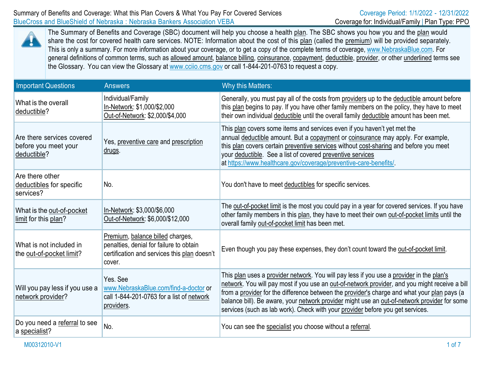

The Summary of Benefits and Coverage (SBC) document will help you choose a health plan. The SBC shows you how you and the plan would share the cost for covered health care services. NOTE: Information about the cost of this plan (called the premium) will be provided separately. This is only a summary. For more information about your coverage, or to get a copy of the complete terms of coverage, [www.NebraskaBlue.com.](http://www.nebraskablue.com/) For general definitions of common terms, such as allowed amount, balance billing, coinsurance, copayment, deductible, provider, or other underlined terms see the Glossary. You can view the Glossary at [www.cciio.cms.gov](http://www.cciio.cms.gov/) or call 1-844-201-0763 to request a copy.

| <b>Important Questions</b>                                        | <b>Answers</b>                                                                                                                        | Why this Matters:                                                                                                                                                                                                                                                                                                                                                                                                                                                           |
|-------------------------------------------------------------------|---------------------------------------------------------------------------------------------------------------------------------------|-----------------------------------------------------------------------------------------------------------------------------------------------------------------------------------------------------------------------------------------------------------------------------------------------------------------------------------------------------------------------------------------------------------------------------------------------------------------------------|
| What is the overall<br>deductible?                                | Individual/Family<br>In-Network: \$1,000/\$2,000<br>Out-of-Network: \$2,000/\$4,000                                                   | Generally, you must pay all of the costs from providers up to the deductible amount before<br>this plan begins to pay. If you have other family members on the policy, they have to meet<br>their own individual deductible until the overall family deductible amount has been met.                                                                                                                                                                                        |
| Are there services covered<br>before you meet your<br>deductible? | Yes, preventive care and prescription<br>drugs.                                                                                       | This plan covers some items and services even if you haven't yet met the<br>annual deductible amount. But a copayment or coinsurance may apply. For example,<br>this plan covers certain preventive services without cost-sharing and before you meet<br>your deductible. See a list of covered preventive services<br>at https://www.healthcare.gov/coverage/preventive-care-benefits/.                                                                                    |
| Are there other<br>deductibles for specific<br>services?          | No.                                                                                                                                   | You don't have to meet deductibles for specific services.                                                                                                                                                                                                                                                                                                                                                                                                                   |
| What is the out-of-pocket<br>limit for this plan?                 | In-Network: \$3,000/\$6,000<br>Out-of-Network: \$6,000/\$12,000                                                                       | The out-of-pocket limit is the most you could pay in a year for covered services. If you have<br>other family members in this plan, they have to meet their own out-of-pocket limits until the<br>overall family out-of-pocket limit has been met.                                                                                                                                                                                                                          |
| What is not included in<br>the out-of-pocket limit?               | Premium, balance billed charges,<br>penalties, denial for failure to obtain<br>certification and services this plan doesn't<br>cover. | Even though you pay these expenses, they don't count toward the out-of-pocket limit.                                                                                                                                                                                                                                                                                                                                                                                        |
| Will you pay less if you use a<br>network provider?               | Yes, See<br>www.NebraskaBlue.com/find-a-doctor or<br>call 1-844-201-0763 for a list of network<br>providers.                          | This plan uses a provider network. You will pay less if you use a provider in the plan's<br>network. You will pay most if you use an out-of-network provider, and you might receive a bill<br>from a provider for the difference between the provider's charge and what your plan pays (a<br>balance bill). Be aware, your network provider might use an out-of-network provider for some<br>services (such as lab work). Check with your provider before you get services. |
| Do you need a referral to see<br>a specialist?                    | No.                                                                                                                                   | You can see the specialist you choose without a referral.                                                                                                                                                                                                                                                                                                                                                                                                                   |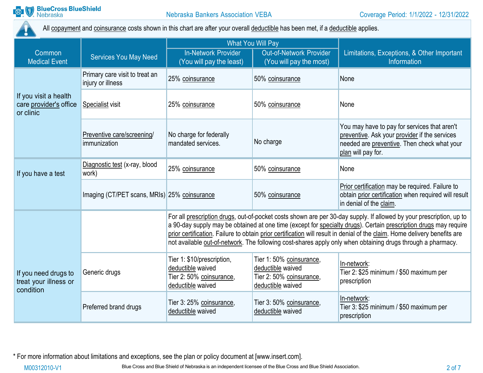

All copayment and coinsurance costs shown in this chart are after your overall deductible has been met, if a deductible applies.

|                                                              |                                                     | <b>What You Will Pay</b>                                                                                                                                                                                                                                                                                                                                                                                                                                                            |                                                                                                |                                                                                                                                                                    |
|--------------------------------------------------------------|-----------------------------------------------------|-------------------------------------------------------------------------------------------------------------------------------------------------------------------------------------------------------------------------------------------------------------------------------------------------------------------------------------------------------------------------------------------------------------------------------------------------------------------------------------|------------------------------------------------------------------------------------------------|--------------------------------------------------------------------------------------------------------------------------------------------------------------------|
| Common<br><b>Medical Event</b>                               | <b>Services You May Need</b>                        | <b>In-Network Provider</b><br>(You will pay the least)                                                                                                                                                                                                                                                                                                                                                                                                                              | Out-of-Network Provider<br>(You will pay the most)                                             | Limitations, Exceptions, & Other Important<br>Information                                                                                                          |
|                                                              | Primary care visit to treat an<br>injury or illness | 25% coinsurance                                                                                                                                                                                                                                                                                                                                                                                                                                                                     | 50% coinsurance                                                                                | None                                                                                                                                                               |
| If you visit a health<br>care provider's office<br>or clinic | Specialist visit                                    | 25% coinsurance                                                                                                                                                                                                                                                                                                                                                                                                                                                                     | 50% coinsurance                                                                                | None                                                                                                                                                               |
|                                                              | Preventive care/screening/<br>immunization          | No charge for federally<br>mandated services.                                                                                                                                                                                                                                                                                                                                                                                                                                       | No charge                                                                                      | You may have to pay for services that aren't<br>preventive. Ask your provider if the services<br>needed are preventive. Then check what your<br>plan will pay for. |
| If you have a test                                           | Diagnostic test (x-ray, blood<br>work)              | 25% coinsurance                                                                                                                                                                                                                                                                                                                                                                                                                                                                     | 50% coinsurance                                                                                | None                                                                                                                                                               |
|                                                              | Imaging (CT/PET scans, MRIs) 25% coinsurance        |                                                                                                                                                                                                                                                                                                                                                                                                                                                                                     | 50% coinsurance                                                                                | Prior certification may be required. Failure to<br>obtain prior certification when required will result<br>in denial of the claim.                                 |
|                                                              |                                                     | For all prescription drugs, out-of-pocket costs shown are per 30-day supply. If allowed by your prescription, up to<br>a 90-day supply may be obtained at one time (except for specialty drugs). Certain prescription drugs may require<br>prior certification. Failure to obtain prior certification will result in denial of the claim. Home delivery benefits are<br>not available out-of-network. The following cost-shares apply only when obtaining drugs through a pharmacy. |                                                                                                |                                                                                                                                                                    |
| If you need drugs to<br>treat your illness or<br>condition   | Generic drugs                                       | Tier 1: \$10/prescription,<br>deductible waived<br>Tier 2: 50% coinsurance,<br>deductible waived                                                                                                                                                                                                                                                                                                                                                                                    | Tier 1: 50% coinsurance,<br>deductible waived<br>Tier 2: 50% coinsurance,<br>deductible waived | In-network:<br>Tier 2: \$25 minimum / \$50 maximum per<br>prescription                                                                                             |
|                                                              | Preferred brand drugs                               | Tier 3: 25% coinsurance,<br>deductible waived                                                                                                                                                                                                                                                                                                                                                                                                                                       | Tier 3: 50% coinsurance,<br>deductible waived                                                  | In-network:<br>Tier 3: \$25 minimum / \$50 maximum per<br>prescription                                                                                             |

\* For more information about limitations and exceptions, see the plan or policy document at [\[www.insert.com\]](http://www.insert.com/).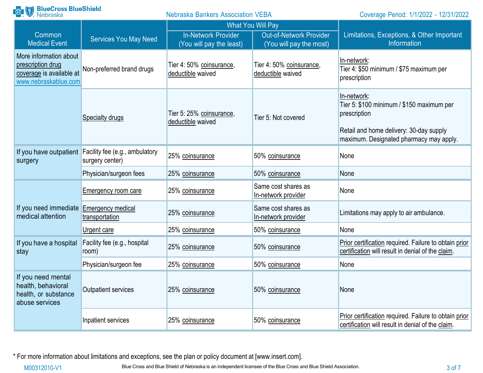| <b>Range BlueCross BlueShield</b>                                                               |                                                                          | <b>Nebraska Bankers Association VEBA</b>               |                                                           | Coverage Period: 1/1/2022 - 12/31/2022                                                                                                                         |
|-------------------------------------------------------------------------------------------------|--------------------------------------------------------------------------|--------------------------------------------------------|-----------------------------------------------------------|----------------------------------------------------------------------------------------------------------------------------------------------------------------|
|                                                                                                 |                                                                          |                                                        | <b>What You Will Pay</b>                                  |                                                                                                                                                                |
| Common<br><b>Medical Event</b>                                                                  | <b>Services You May Need</b>                                             | <b>In-Network Provider</b><br>(You will pay the least) | <b>Out-of-Network Provider</b><br>(You will pay the most) | Limitations, Exceptions, & Other Important<br>Information                                                                                                      |
| More information about<br>prescription drug<br>coverage is available at<br>www.nebraskablue.com | Non-preferred brand drugs                                                | Tier 4: 50% coinsurance,<br>deductible waived          | Tier 4: 50% coinsurance,<br>deductible waived             | In-network:<br>Tier 4: \$50 minimum / \$75 maximum per<br>prescription                                                                                         |
|                                                                                                 | Specialty drugs                                                          | Tier 5: 25% coinsurance,<br>deductible waived          | Tier 5: Not covered                                       | In-network:<br>Tier 5: \$100 minimum / \$150 maximum per<br>prescription<br>Retail and home delivery: 30-day supply<br>maximum. Designated pharmacy may apply. |
| surgery                                                                                         | If you have outpatient Facility fee (e.g., ambulatory<br>surgery center) | 25% coinsurance                                        | 50% coinsurance                                           | None                                                                                                                                                           |
|                                                                                                 | Physician/surgeon fees                                                   | 25% coinsurance                                        | 50% coinsurance                                           | None                                                                                                                                                           |
|                                                                                                 | <b>Emergency room care</b>                                               | 25% coinsurance                                        | Same cost shares as<br>In-network provider                | None                                                                                                                                                           |
| If you need immediate<br>medical attention                                                      | Emergency medical<br>transportation                                      | 25% coinsurance                                        | Same cost shares as<br>In-network provider                | Limitations may apply to air ambulance.                                                                                                                        |
|                                                                                                 | <u>Urgent care</u>                                                       | 25% coinsurance                                        | 50% coinsurance                                           | None                                                                                                                                                           |
| If you have a hospital<br>stay                                                                  | Facility fee (e.g., hospital<br>room)                                    | 25% coinsurance                                        | 50% coinsurance                                           | Prior certification required. Failure to obtain prior<br>certification will result in denial of the claim.                                                     |
|                                                                                                 | Physician/surgeon fee                                                    | 25% coinsurance                                        | 50% coinsurance                                           | None                                                                                                                                                           |
| If you need mental<br>health, behavioral<br>health, or substance<br>abuse services              | Outpatient services                                                      | 25% coinsurance                                        | 50% coinsurance                                           | None                                                                                                                                                           |
|                                                                                                 | Inpatient services                                                       | 25% coinsurance                                        | 50% coinsurance                                           | Prior certification required. Failure to obtain prior<br>certification will result in denial of the claim.                                                     |

\* For more information about limitations and exceptions, see the plan or policy document at [\[www.insert.com\]](http://www.insert.com/).

M00312010-V1 Blue Cross and Blue Shield of Nebraska is an independent licensee of the Blue Cross and Blue Shield Association.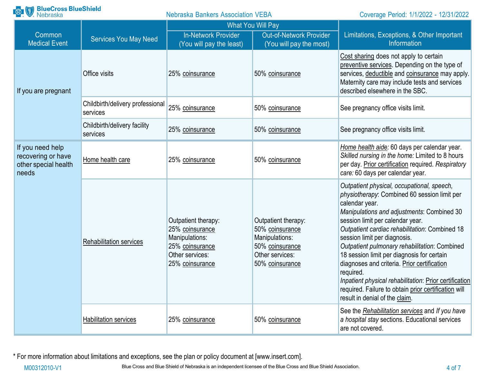| <b>BlueCross BlueShield</b><br>Nebraska                                 |                                              | <b>Nebraska Bankers Association VEBA</b>                                                                          |                                                                                                                   | Coverage Period: 1/1/2022 - 12/31/2022                                                                                                                                                                                                                                                                                                                                                                                                                                                                                                                                                          |
|-------------------------------------------------------------------------|----------------------------------------------|-------------------------------------------------------------------------------------------------------------------|-------------------------------------------------------------------------------------------------------------------|-------------------------------------------------------------------------------------------------------------------------------------------------------------------------------------------------------------------------------------------------------------------------------------------------------------------------------------------------------------------------------------------------------------------------------------------------------------------------------------------------------------------------------------------------------------------------------------------------|
|                                                                         |                                              |                                                                                                                   | <b>What You Will Pay</b>                                                                                          |                                                                                                                                                                                                                                                                                                                                                                                                                                                                                                                                                                                                 |
| Common<br><b>Medical Event</b>                                          | <b>Services You May Need</b>                 | <b>In-Network Provider</b><br>(You will pay the least)                                                            | <b>Out-of-Network Provider</b><br>(You will pay the most)                                                         | Limitations, Exceptions, & Other Important<br>Information                                                                                                                                                                                                                                                                                                                                                                                                                                                                                                                                       |
| If you are pregnant                                                     | Office visits                                | 25% coinsurance                                                                                                   | 50% coinsurance                                                                                                   | Cost sharing does not apply to certain<br>preventive services. Depending on the type of<br>services, deductible and coinsurance may apply.<br>Maternity care may include tests and services<br>described elsewhere in the SBC.                                                                                                                                                                                                                                                                                                                                                                  |
|                                                                         | Childbirth/delivery professional<br>services | 25% coinsurance                                                                                                   | 50% coinsurance                                                                                                   | See pregnancy office visits limit.                                                                                                                                                                                                                                                                                                                                                                                                                                                                                                                                                              |
|                                                                         | Childbirth/delivery facility<br>services     | 25% coinsurance                                                                                                   | 50% coinsurance                                                                                                   | See pregnancy office visits limit.                                                                                                                                                                                                                                                                                                                                                                                                                                                                                                                                                              |
| If you need help<br>recovering or have<br>other special health<br>needs | Home health care                             | 25% coinsurance                                                                                                   | 50% coinsurance                                                                                                   | Home health aide: 60 days per calendar year.<br>Skilled nursing in the home: Limited to 8 hours<br>per day. Prior certification required. Respiratory<br>care: 60 days per calendar year.                                                                                                                                                                                                                                                                                                                                                                                                       |
|                                                                         | <b>Rehabilitation services</b>               | Outpatient therapy:<br>25% coinsurance<br>Manipulations:<br>25% coinsurance<br>Other services:<br>25% coinsurance | Outpatient therapy:<br>50% coinsurance<br>Manipulations:<br>50% coinsurance<br>Other services:<br>50% coinsurance | Outpatient physical, occupational, speech,<br>physiotherapy: Combined 60 session limit per<br>calendar year.<br>Manipulations and adjustments: Combined 30<br>session limit per calendar year.<br>Outpatient cardiac rehabilitation: Combined 18<br>session limit per diagnosis.<br>Outpatient pulmonary rehabilitation: Combined<br>18 session limit per diagnosis for certain<br>diagnoses and criteria. Prior certification<br>required.<br>Inpatient physical rehabilitation: Prior certification<br>required. Failure to obtain prior certification will<br>result in denial of the claim. |
|                                                                         | <b>Habilitation services</b>                 | 25% coinsurance                                                                                                   | 50% coinsurance                                                                                                   | See the Rehabilitation services and If you have<br>a hospital stay sections. Educational services<br>are not covered.                                                                                                                                                                                                                                                                                                                                                                                                                                                                           |

\* For more information about limitations and exceptions, see the plan or policy document at [\[www.insert.com\]](http://www.insert.com/).

M00312010-V1 Blue Cross and Blue Shield of Nebraska is an independent licensee of the Blue Cross and Blue Shield Association. 4 of 7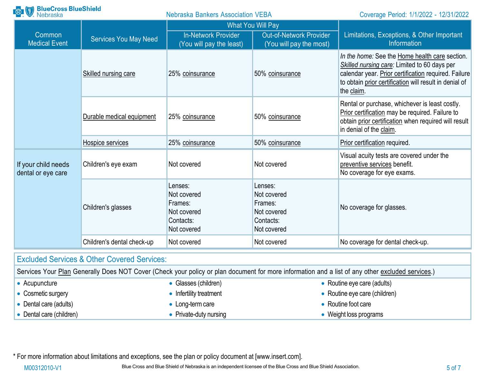| <b>BlueCross BlueShield</b><br>Nebraska   |                                                        | <b>Nebraska Bankers Association VEBA</b>                                     |                                                                              | Coverage Period: 1/1/2022 - 12/31/2022                                                                                                                                                                                         |  |
|-------------------------------------------|--------------------------------------------------------|------------------------------------------------------------------------------|------------------------------------------------------------------------------|--------------------------------------------------------------------------------------------------------------------------------------------------------------------------------------------------------------------------------|--|
|                                           |                                                        | <b>What You Will Pay</b>                                                     |                                                                              |                                                                                                                                                                                                                                |  |
| Common<br><b>Medical Event</b>            | <b>Services You May Need</b>                           | <b>In-Network Provider</b><br>(You will pay the least)                       | <b>Out-of-Network Provider</b><br>(You will pay the most)                    | Limitations, Exceptions, & Other Important<br>Information                                                                                                                                                                      |  |
|                                           | Skilled nursing care                                   | 25% coinsurance                                                              | 50% coinsurance                                                              | In the home: See the Home health care section.<br>Skilled nursing care: Limited to 60 days per<br>calendar year. Prior certification required. Failure<br>to obtain prior certification will result in denial of<br>the claim. |  |
|                                           | Durable medical equipment                              | 25% coinsurance                                                              | 50% coinsurance                                                              | Rental or purchase, whichever is least costly.<br>Prior certification may be required. Failure to<br>obtain prior certification when required will result<br>in denial of the claim.                                           |  |
|                                           | Hospice services                                       | 25% coinsurance                                                              | 50% coinsurance                                                              | Prior certification required.                                                                                                                                                                                                  |  |
| If your child needs<br>dental or eye care | Children's eye exam                                    | Not covered                                                                  | Not covered                                                                  | Visual acuity tests are covered under the<br>preventive services benefit.<br>No coverage for eye exams.                                                                                                                        |  |
|                                           | Children's glasses                                     | Lenses:<br>Not covered<br>Frames:<br>Not covered<br>Contacts:<br>Not covered | Lenses:<br>Not covered<br>Frames:<br>Not covered<br>Contacts:<br>Not covered | No coverage for glasses.                                                                                                                                                                                                       |  |
|                                           | Children's dental check-up                             | Not covered                                                                  | Not covered                                                                  | No coverage for dental check-up.                                                                                                                                                                                               |  |
|                                           | <b>Excluded Services &amp; Other Covered Services:</b> |                                                                              |                                                                              |                                                                                                                                                                                                                                |  |
|                                           |                                                        |                                                                              |                                                                              | Carvices Your Plan Generally Does NOT Cover (Check your policy or plan document for more information and a list of any other excluded services)                                                                                |  |

|                        |                          | OCIVICIO IN TRILOGICIO IN COVERTING AND INTERNATION CONTROL DI SIDERITI OF THOLOGICAL INTERNATION IN A 1150 OF ANY ON THE EXCIDENCES. |
|------------------------|--------------------------|---------------------------------------------------------------------------------------------------------------------------------------|
| Acupuncture            | • Glasses (children)     | • Routine eye care (adults)                                                                                                           |
| Cosmetic surgery       | • Infertility treatment  | • Routine eye care (children)                                                                                                         |
| Dental care (adults)   | $\bullet$ Long-term care | Routine foot care                                                                                                                     |
| Dental care (children) | • Private-duty nursing   | Weight loss programs                                                                                                                  |

\* For more information about limitations and exceptions, see the plan or policy document at [\[www.insert.com\]](http://www.insert.com/).

M00312010-V1 Blue Cross and Blue Shield of Nebraska is an independent licensee of the Blue Cross and Blue Shield Association.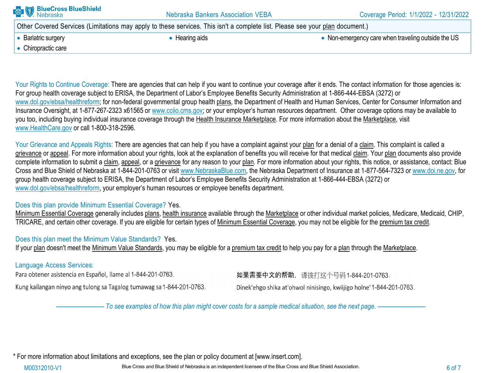| <b>BlueCross BlueShield</b><br>Nebraska | <b>Nebraska Bankers Association VEBA</b>                                                                                     | Coverage Period: 1/1/2022 - 12/31/2022             |
|-----------------------------------------|------------------------------------------------------------------------------------------------------------------------------|----------------------------------------------------|
|                                         | Other Covered Services (Limitations may apply to these services. This isn't a complete list. Please see your plan document.) |                                                    |
| • Bariatric surgery                     | • Hearing aids                                                                                                               | • Non-emergency care when traveling outside the US |
| • Chiropractic care                     |                                                                                                                              |                                                    |
|                                         |                                                                                                                              |                                                    |

Your Rights to Continue Coverage: There are agencies that can help if you want to continue your coverage after it ends. The contact information for those agencies is: For group health coverage subject to ERISA, the Department of Labor's Employee Benefits Security Administration at 1-866-444-EBSA (3272) or [www.dol.gov/ebsa/healthreform; f](http://www.dol.gov/ebsa/healthreform%3B)or non-federal governmental group health plans, the Department of Health and Human Services, Center for Consumer Information and Insurance Oversight, at 1-877-267-2323 x61565 or www.cciio.cms.gov; or your employer's human resources department. Other coverage options may be available to you too, including buying individual insurance coverage through the Health Insurance Marketplace. For more information about the Marketplace, visit [www.HealthCare.gov](http://www.healthcare.gov/) or call 1-800-318-2596.

Your Grievance and Appeals Rights: There are agencies that can help if you have a complaint against your plan for a denial of a claim. This complaint is called a grievance or appeal. For more information about your rights, look at the explanation of benefits you will receive for that medical claim. Your plan documents also provide complete information to submit a claim, appeal, or a grievance for any reason to your plan. For more information about your rights, this notice, or assistance, contact: Blue Cross and Blue Shield of Nebraska at 1-844-201-0763 or visit [www.NebraskaBlue.com, t](http://www.nebraskablue.com/)he Nebraska Department of Insurance at 1-877-564-7323 or [www.doi.ne.gov, f](http://www.doi.ne.gov/)or group health coverage subject to ERISA, the Department of Labor's Employee Benefits Security Administration at 1-866-444-EBSA (3272) or [www.dol.gov/ebsa/healthreform,](http://www.dol.gov/ebsa/healthreform) your employer's human resources or employee benefits department.

#### Does this plan provide Minimum Essential Coverage? Yes.

Minimum Essential Coverage generally includes plans, health insurance available through the Marketplace or other individual market policies, Medicare, Medicaid, CHIP, TRICARE, and certain other coverage. If you are eligible for certain types of Minimum Essential Coverage, you may not be eligible for the premium tax credit.

## Does this plan meet the Minimum Value Standards? Yes.

If your plan doesn't meet the Minimum Value Standards, you may be eligible for a premium tax credit to help you pay for a plan through the Marketplace.

## Language Access Services:

Para obtener asistencia en Español, llame al 1-844-201-0763.

Kung kailangan ninyo ang tulong sa Tagalog tumawag sa 1-844-201-0763.

如果需要中文的帮助, 请拨打这个号码1-844-201-0763.

Dinek'ehgo shika at'ohwol ninisingo, kwiijigo holne' 1-844-201-0763.

- To see examples of how this plan might cover costs for a sample medical situation, see the next page. -----

\* For more information about limitations and exceptions, see the plan or policy document at [\[www.insert.com\]](http://www.insert.com/).

M00312010-V1 Blue Cross and Blue Shield of Nebraska is an independent licensee of the Blue Cross and Blue Shield Association.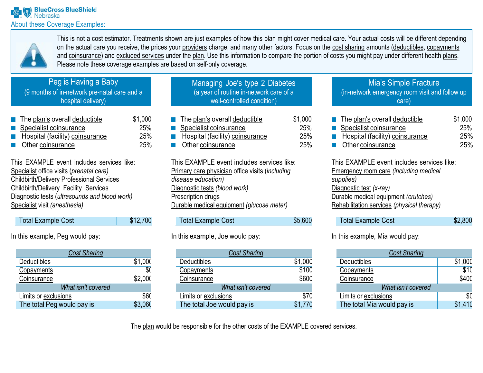

This is not a cost estimator. Treatments shown are just examples of how this plan might cover medical care. Your actual costs will be different depending on the actual care you receive, the prices your providers charge, and many other factors. Focus on the cost sharing amounts (deductibles, copayments and coinsurance) and excluded services under the plan. Use this information to compare the portion of costs you might pay under different health plans. Please note these coverage examples are based on self-only coverage.

# Peg is Having a Baby

(9 months of in-network pre-natal care and a hospital delivery)

| $\blacksquare$ The plan's overall deductible  | \$1,000    |
|-----------------------------------------------|------------|
| Specialist coinsurance                        | <b>25%</b> |
| Hospital (facility) coinsurance<br>$\sim 100$ | 25%        |
| $\blacksquare$ Other coinsurance              | 25%        |

This EXAMPLE event includes services like: Specialist office visits (*prenatal care)* Childbirth/Delivery Professional Services Childbirth/Delivery Facility Services Diagnostic tests (*ultrasounds and blood work)* Specialist visit *(anesthesia)*

| <b>Total Example Cost</b> | \$12,700 |
|---------------------------|----------|
|                           |          |

In this example, Peg would pay:

| <b>Cost Sharing</b>        |         |  |
|----------------------------|---------|--|
| Deductibles                | \$1,00C |  |
| Copayments                 | \$0     |  |
| Coinsurance                | \$2,000 |  |
| What isn't covered         |         |  |
| Limits or exclusions       | \$60    |  |
| The total Peg would pay is | \$3,060 |  |

| Managing Joe's type 2 Diabetes          |  |  |
|-----------------------------------------|--|--|
| (a year of routine in-network care of a |  |  |
| well-controlled condition)              |  |  |
|                                         |  |  |

|                          | $\blacksquare$ The plan's overall deductible | \$1,000 |
|--------------------------|----------------------------------------------|---------|
| Specialist coinsurance   |                                              | 25%     |
|                          | Hospital (facility) coinsurance              | 25%     |
| <b>Other coinsurance</b> |                                              | 25%     |

This EXAMPLE event includes services like: Primary care physician office visits (*including disease education)* Diagnostic tests *(blood work)* Prescription drugs Durable medical equipment *(glucose meter)*

| <b>Total Example Cost</b> | \$5,600 |
|---------------------------|---------|

## In this example, Joe would pay:

| <b>Cost Sharing</b>        |         |  |
|----------------------------|---------|--|
| Deductibles                | \$1,000 |  |
| Copayments                 | \$100   |  |
| Coinsurance                | \$600   |  |
| What isn't covered         |         |  |
| Limits or exclusions       | \$70    |  |
| The total Joe would pay is | \$1,770 |  |

### Mia's Simple Fracture (in-network emergency room visit and follow up care)

| $\blacksquare$ The plan's overall deductible | \$1,000    |
|----------------------------------------------|------------|
| Specialist coinsurance                       | 25%        |
| Hospital (facility) coinsurance              | <b>25%</b> |
| <b>Other coinsurance</b>                     | <b>25%</b> |

This EXAMPLE event includes services like: Emergency room care *(including medical supplies)* Diagnostic test *(x-ray)* Durable medical equipment *(crutches)* Rehabilitation services *(physical therapy)*

| Total Example Cost | \$2,800 |
|--------------------|---------|
|--------------------|---------|

In this example, Mia would pay:

| <b>Cost Sharing</b>        |         |
|----------------------------|---------|
| Deductibles                | \$1,000 |
| Copayments                 | \$10    |
| Coinsurance                | \$400   |
| What isn't covered         |         |
| Limits or exclusions       | \$0     |
| The total Mia would pay is | \$1410  |

The plan would be responsible for the other costs of the EXAMPLE covered services.